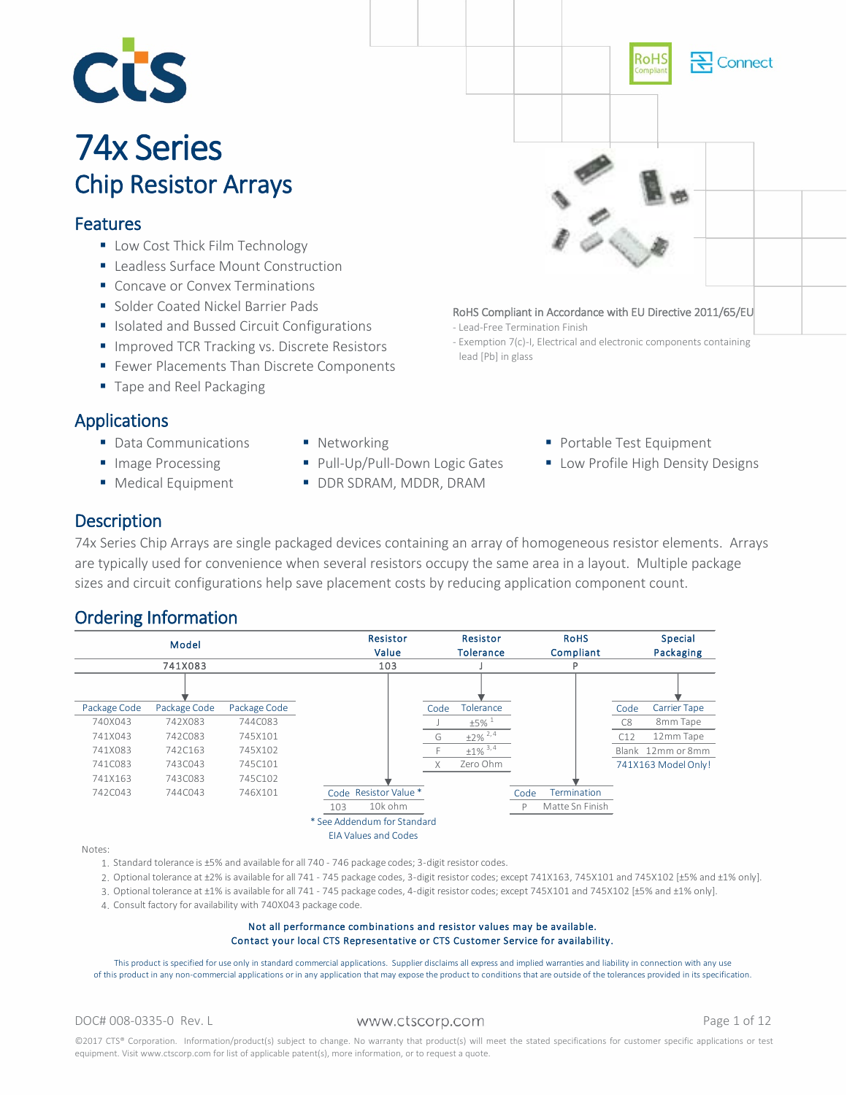

# **74x Series**<br>Chip Resistor Arrays

### Features

- Low Cost Thick Film Technology
- Leadless Surface Mount Construction
- Concave or Convex Terminations
- **Solder Coated Nickel Barrier Pads**
- **In Isolated and Bussed Circuit Configurations**
- **Improved TCR Tracking vs. Discrete Resistors**
- **Fewer Placements Than Discrete Components**
- **Tape and Reel Packaging**

### Applications

- Data Communications
- **Image Processing**
- **Medical Equipment**
- **Networking**
- Pull-Up/Pull-Down Logic Gates
- **DDR SDRAM, MDDR, DRAM**
- **Portable Test Equipment**

RoHS Compliant in Accordance with EU Directive 2011/65/EU

- Exemption 7(c)-I, Electrical and electronic components containing

- Lead-Free Termination Finish

lead [Pb] in glass

**Low Profile High Density Designs** 

Connect

### **Description**

74x Series Chip Arrays are single packaged devices containing an array of homogeneous resistor elements. Arrays are typically used for convenience when several resistors occupy the same area in a layout. Multiple package sizes and circuit configurations help save placement costs by reducing application component count.

### Ordering Information



Notes:

1. Standard tolerance is ±5% and available for all 740 - 746 package codes; 3-digit resistor codes.

- 2. Optional tolerance at ±2% is available for all 741 745 package codes, 3-digit resistor codes; except 741X163, 745X101 and 745X102 [±5% and ±1% only].
- 3. Optional tolerance at ±1% is available for all 741 745 package codes, 4-digit resistor codes; except 745X101 and 745X102 [±5% and ±1% only].
- 4. Consult factory for availability with 740X043 package code.

#### Contact your local CTS Representative or CTS Customer Service for availability. Not all performance combinations and resistor values may be available.

This product is specified for use only in standard commercial applications. Supplier disclaims all express and implied warranties and liability in connection with any use of this product in any non-commercial applications or in any application that may expose the product to conditions that are outside of the tolerances provided in its specification.

DOC# 008-0335-0 Rev. L WWW.Ctscorp.com example the Page 1 of 12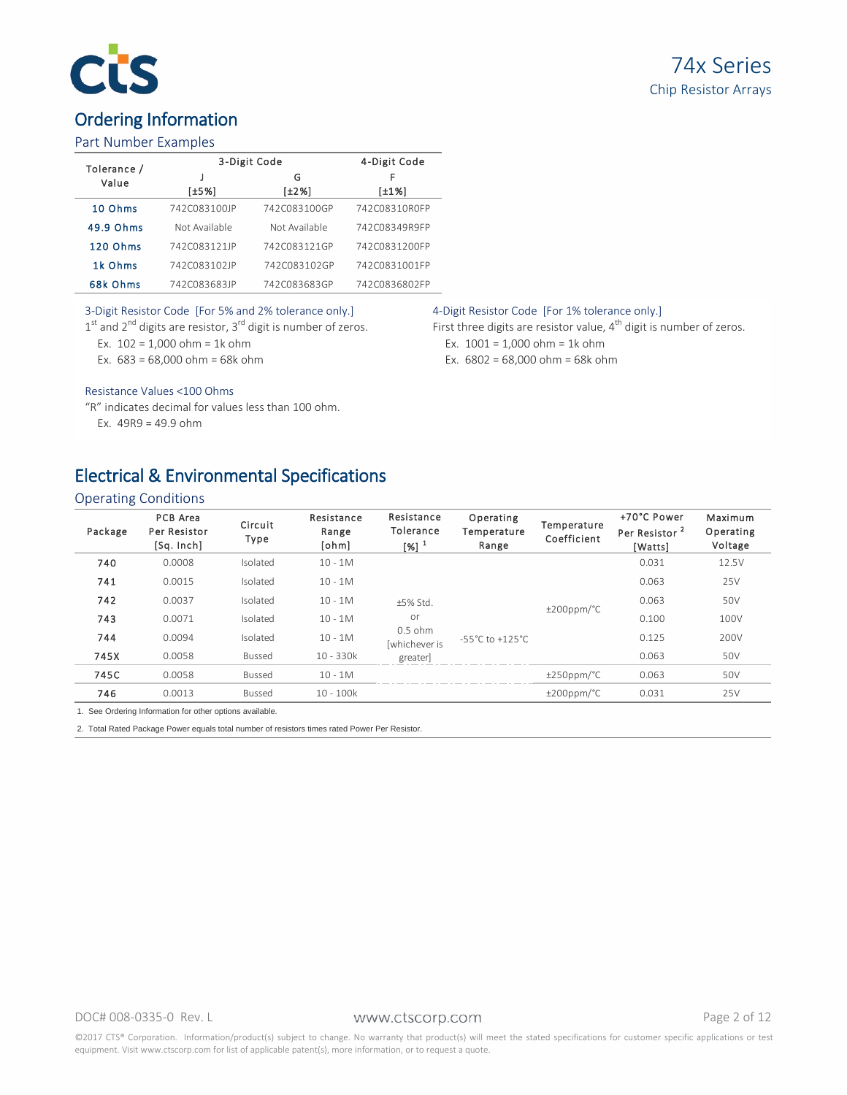# C

# Ordering Information

### Part Number Examples

| Tolerance / | 3-Digit Code  | 4-Digit Code  |               |  |
|-------------|---------------|---------------|---------------|--|
| Value       |               | G             | F             |  |
|             | [±5%]         | [±2%]         | [±1%]         |  |
| 10 Ohms     | 742C083100JP  | 742C083100GP  | 742C08310R0FP |  |
| 49.9 Ohms   | Not Available | Not Available | 742C08349R9FP |  |
| 120 Ohms    | 742C083121JP  | 742C083121GP  | 742C0831200FP |  |
| 1k Ohms     | 742C083102JP  | 742C083102GP  | 742C0831001FP |  |
| 68k Ohms    | 742C083683JP  | 742C083683GP  | 742C0836802FP |  |

### 3-Digit Resistor Code [For 5% and 2% tolerance only.]

 $1<sup>st</sup>$  and  $2<sup>nd</sup>$  digits are resistor,  $3<sup>rd</sup>$  digit is number of zeros.

Ex.  $102 = 1,000$  ohm = 1k ohm

Ex.  $683 = 68,000$  ohm = 68k ohm

#### Resistance Values <100 Ohms

"R" indicates decimal for values less than 100 ohm. Ex. 49R9 = 49.9 ohm

# Electrical & Environmental Specifications

### Operating Conditions

| Package | PCB Area<br>Per Resistor<br>[Sq. Inch] | Circuit<br>Type | Resistance<br>Range<br>[ohm] | Resistance<br>Tolerance<br>$[%]$ <sup>1</sup> | Operating<br>Temperature<br>Range   | Temperature<br>Coefficient | +70°C Power<br>Per Resistor <sup>2</sup><br>[Watts] | Maximum<br>Operating<br>Voltage |
|---------|----------------------------------------|-----------------|------------------------------|-----------------------------------------------|-------------------------------------|----------------------------|-----------------------------------------------------|---------------------------------|
| 740     | 0.0008                                 | Isolated        | $10 - 1M$                    |                                               |                                     |                            | 0.031                                               | 12.5V                           |
| 741     | 0.0015                                 | Isolated        | $10 - 1M$                    |                                               |                                     |                            | 0.063                                               | 25V                             |
| 742     | 0.0037                                 | Isolated        | $10 - 1M$                    | ±5% Std.                                      |                                     | $±200$ ppm/ $°C$           | 0.063                                               | 50V                             |
| 743     | 0.0071                                 | Isolated        | $10 - 1M$                    | or                                            |                                     |                            | 0.100                                               | 100V                            |
| 744     | 0.0094                                 | Isolated        | $10 - 1M$                    | $0.5$ ohm<br>lwhichever is                    | $-55^{\circ}$ C to $+125^{\circ}$ C |                            | 0.125                                               | 200V                            |
| 745X    | 0.0058                                 | <b>Bussed</b>   | $10 - 330k$                  | greater                                       |                                     |                            | 0.063                                               | 50V                             |
| 745C    | 0.0058                                 | <b>Bussed</b>   | $10 - 1M$                    |                                               |                                     | $±250$ ppm/°C              | 0.063                                               | 50V                             |
| 746     | 0.0013                                 | <b>Bussed</b>   | $10 - 100k$                  |                                               |                                     | $\pm 200$ ppm/°C           | 0.031                                               | 25V                             |

1. See Ordering Information for other options available.

2. Total Rated Package Power equals total number of resistors times rated Power Per Resistor.

#### DOC# 008-0335-0 Rev. L WWW.Ctscorp.com example 2 of 12

©2017 CTS® Corporation. Information/product(s) subject to change. No warranty that product(s) will meet the stated specifications for customer specific applications or test equipment. Visit www.ctscorp.com for list of applicable patent(s), more information, or to request a quote.

### 4-Digit Resistor Code [For 1% tolerance only.]

First three digits are resistor value,  $4^{th}$  digit is number of zeros. Ex.  $1001 = 1,000$  ohm = 1k ohm Ex. 6802 = 68,000 ohm = 68k ohm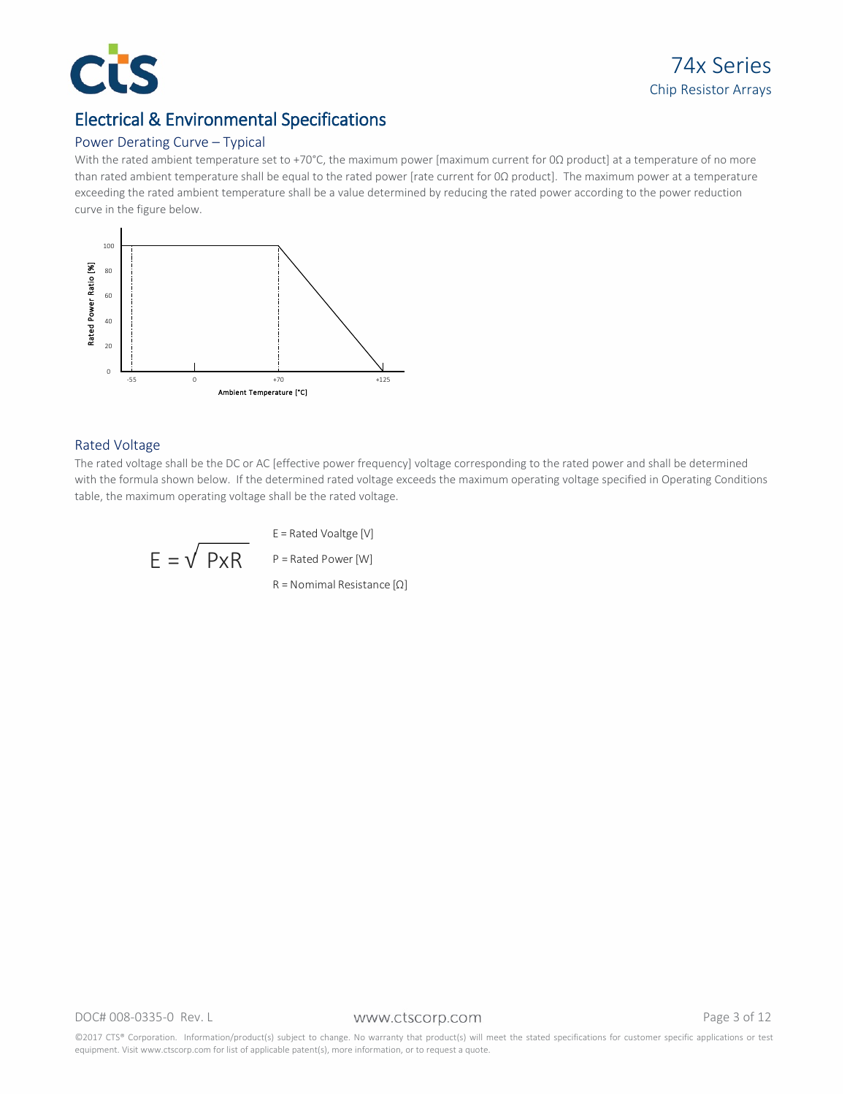

### Electrical & Environmental Specifications

### Power Derating Curve – Typical

With the rated ambient temperature set to +70°C, the maximum power [maximum current for 0Ω product] at a temperature of no more than rated ambient temperature shall be equal to the rated power [rate current for 0Ω product]. The maximum power at a temperature exceeding the rated ambient temperature shall be a value determined by reducing the rated power according to the power reduction curve in the figure below.



### Rated Voltage

The rated voltage shall be the DC or AC [effective power frequency] voltage corresponding to the rated power and shall be determined with the formula shown below. If the determined rated voltage exceeds the maximum operating voltage specified in Operating Conditions

$$
E = \sqrt{PxR}
$$

E = Rated Voaltge [V]

 $P =$  Rated Power [W]

R = Nomimal Resistance [Ω]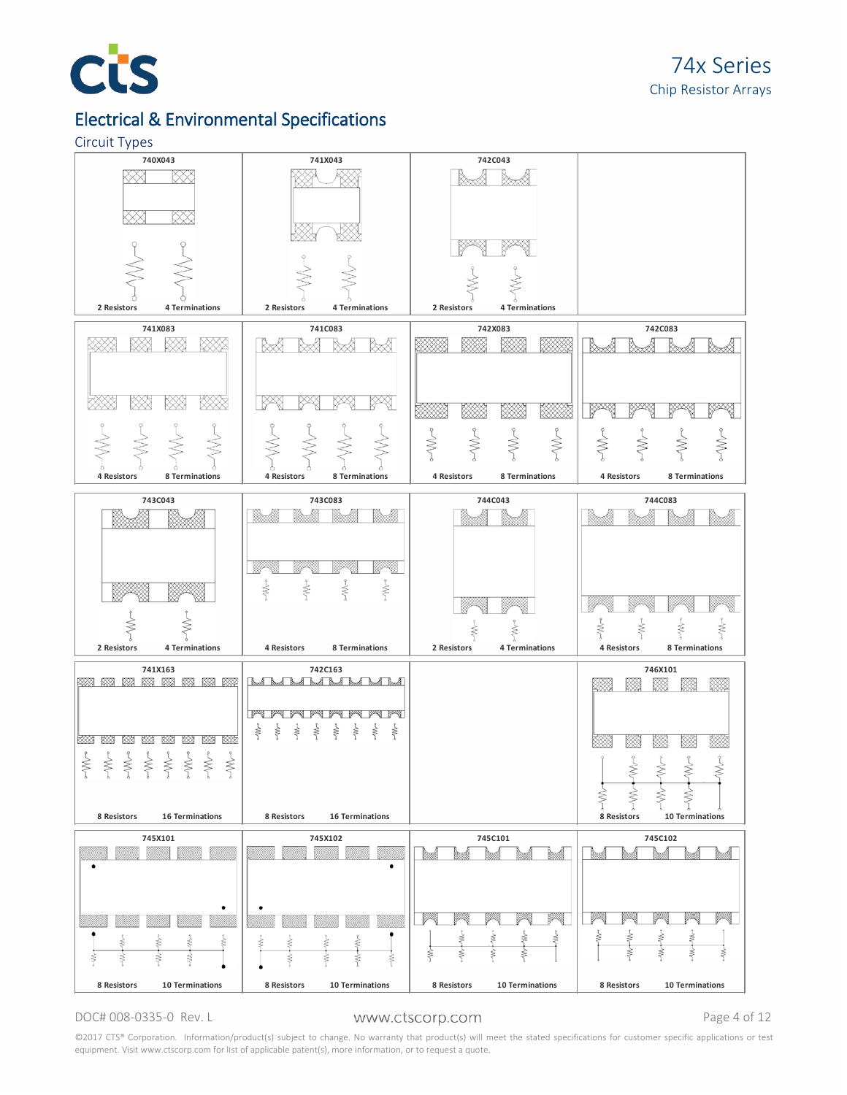

### Electrical & Environmental Specifications

#### Circuit Types



#### DOC# 008-0335-0 Rev. L WWW.Ctscorp.com example the Page 4 of 12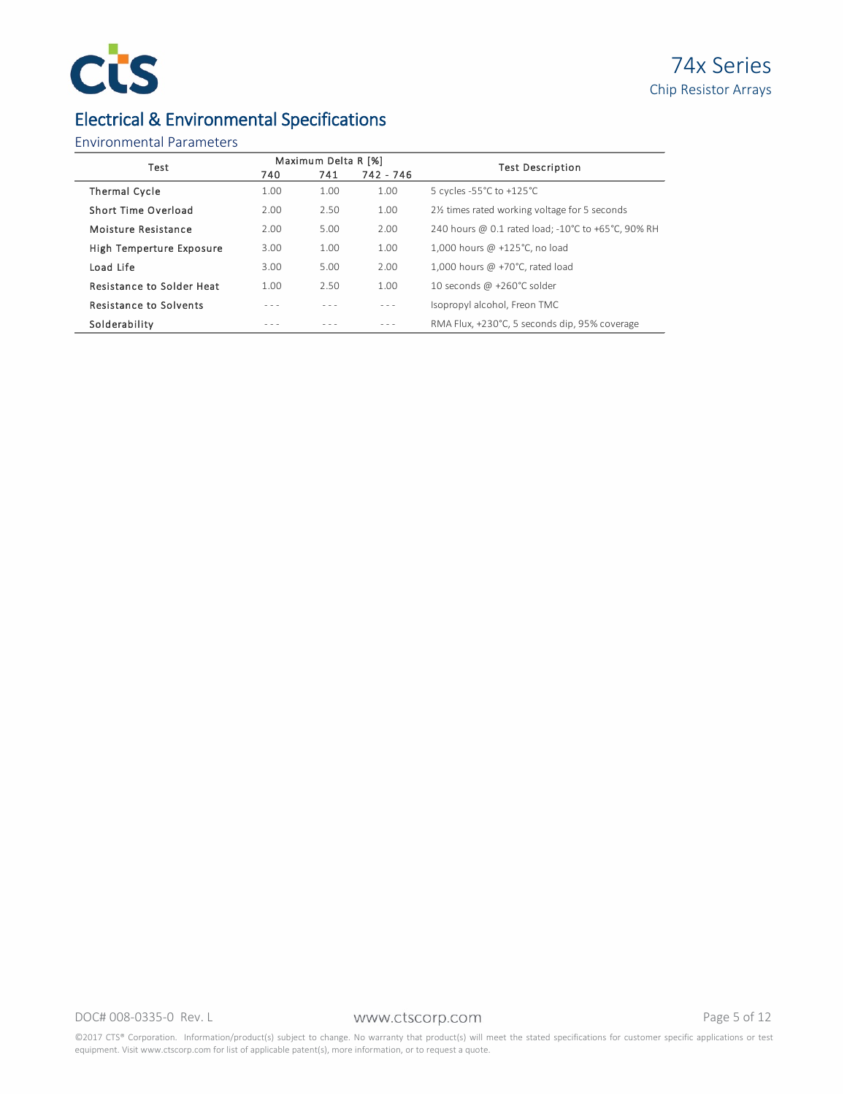

# Electrical & Environmental Specifications

### Environmental Parameters

| Test                             |      | Maximum Delta R [%] |           | <b>Test Description</b>                                    |
|----------------------------------|------|---------------------|-----------|------------------------------------------------------------|
|                                  | 740  | 741                 | 742 - 746 |                                                            |
| <b>Thermal Cycle</b>             | 1.00 | 1.00                | 1.00      | 5 cycles -55 $^{\circ}$ C to +125 $^{\circ}$ C             |
| Short Time Overload              | 2.00 | 2.50                | 1.00      | 21/ <sub>2</sub> times rated working voltage for 5 seconds |
| Moisture Resistance              | 2.00 | 5.00                | 2.00      | 240 hours @ 0.1 rated load: -10°C to +65°C. 90% RH         |
| High Temperture Exposure         | 3.00 | 1.00                | 1.00      | 1.000 hours @ +125°C, no load                              |
| Load Life                        | 3.00 | 5.00                | 2.00      | 1.000 hours @ +70 $^{\circ}$ C. rated load                 |
| <b>Resistance to Solder Heat</b> | 1.00 | 2.50                | 1.00      | 10 seconds @ +260°C solder                                 |
| <b>Resistance to Solvents</b>    |      |                     | $- - -$   | Isopropyl alcohol, Freon TMC                               |
| Solderability                    |      |                     |           | RMA Flux. +230°C. 5 seconds dip. 95% coverage              |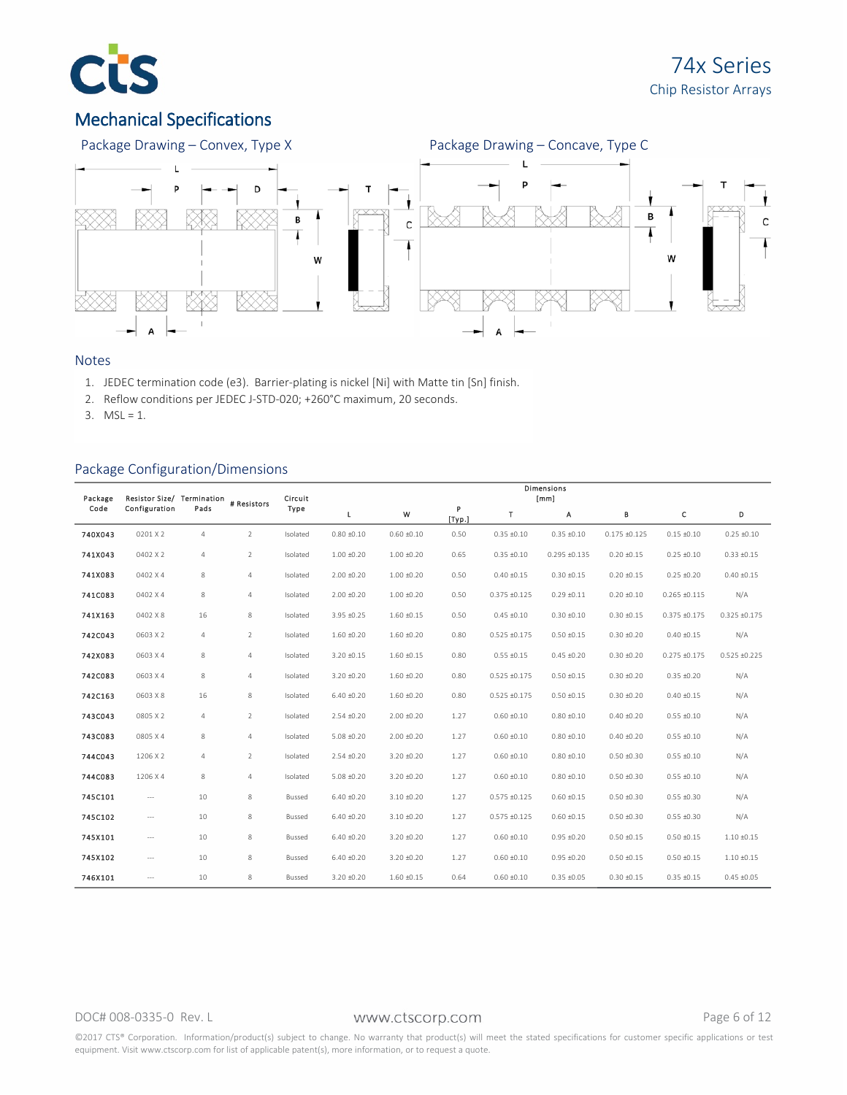

# Mechanical Specifications



### Notes

- 1. JEDEC termination code (e3). Barrier-plating is nickel [Ni] with Matte tin [Sn] finish.
- 2. Reflow conditions per JEDEC J-STD-020; +260°C maximum, 20 seconds.
- 3.  $MSL = 1$ .

### Package Configuration/Dimensions

| Package | <b>Resistor Size/</b>    | Termination    | # Resistors    | Circuit  | <b>Dimensions</b><br>[mm] |                 |             |                   |                   |                 |                   |                 |  |
|---------|--------------------------|----------------|----------------|----------|---------------------------|-----------------|-------------|-------------------|-------------------|-----------------|-------------------|-----------------|--|
| Code    | Configuration            | Pads           |                | Type     | Г                         | W               | P<br>[Typ.] | т                 | А                 | в               | c                 | D               |  |
| 740X043 | 0201 X 2                 | $\overline{4}$ | $\overline{2}$ | Isolated | $0.80 + 0.10$             | $0.60 \pm 0.10$ | 0.50        | $0.35 + 0.10$     | $0.35 + 0.10$     | $0.175 + 0.125$ | $0.15 \pm 0.10$   | $0.25 \pm 0.10$ |  |
| 741X043 | 0402 X 2                 | $\overline{4}$ | $\overline{2}$ | Isolated | $1.00 + 0.20$             | $1.00 + 0.20$   | 0.65        | $0.35 + 0.10$     | $0.295 \pm 0.135$ | $0.20 + 0.15$   | $0.25 \pm 0.10$   | $0.33 + 0.15$   |  |
| 741X083 | 0402 X 4                 | 8              | $\overline{4}$ | Isolated | $2.00 + 0.20$             | $1.00 + 0.20$   | 0.50        | $0.40 + 0.15$     | $0.30 + 0.15$     | $0.20 + 0.15$   | $0.25 \pm 0.20$   | $0.40 + 0.15$   |  |
| 741C083 | 0402 X 4                 | 8              | $\sqrt{4}$     | Isolated | $2.00 + 0.20$             | $1.00 + 0.20$   | 0.50        | $0.375 + 0.125$   | $0.29 \pm 0.11$   | $0.20 \pm 0.10$ | $0.265 + 0.115$   | N/A             |  |
| 741X163 | 0402 X 8                 | 16             | 8              | Isolated | 3.95 ±0.25                | $1.60 + 0.15$   | 0.50        | $0.45 \pm 0.10$   | $0.30 + 0.10$     | $0.30 + 0.15$   | $0.375 + 0.175$   | $0.325 + 0.175$ |  |
| 742C043 | 0603 X 2                 | $\overline{4}$ | $\overline{2}$ | Isolated | $1.60 + 0.20$             | $1.60 + 0.20$   | 0.80        | $0.525 \pm 0.175$ | $0.50 + 0.15$     | $0.30 + 0.20$   | $0.40 + 0.15$     | N/A             |  |
| 742X083 | 0603 X 4                 | 8              | $\overline{4}$ | Isolated | $3.20 + 0.15$             | $1.60 + 0.15$   | 0.80        | $0.55 \pm 0.15$   | $0.45 + 0.20$     | $0.30 + 0.20$   | $0.275 \pm 0.175$ | $0.525 + 0.225$ |  |
| 742C083 | 0603 X 4                 | 8              | $\overline{4}$ | Isolated | 3.20 ±0.20                | $1.60 + 0.20$   | 0.80        | $0.525 \pm 0.175$ | $0.50 \pm 0.15$   | $0.30 + 0.20$   | $0.35 + 0.20$     | N/A             |  |
| 742C163 | 0603 X 8                 | 16             | 8              | Isolated | $6.40 \pm 0.20$           | $1.60 + 0.20$   | 0.80        | $0.525 \pm 0.175$ | $0.50 + 0.15$     | $0.30 + 0.20$   | $0.40 + 0.15$     | N/A             |  |
| 743C043 | 0805 X 2                 | $\overline{4}$ | $\overline{2}$ | Isolated | $2.54 \pm 0.20$           | $2.00 + 0.20$   | 1.27        | $0.60 + 0.10$     | $0.80 + 0.10$     | $0.40 + 0.20$   | $0.55 \pm 0.10$   | N/A             |  |
| 743C083 | 0805 X 4                 | 8              | $\overline{4}$ | Isolated | $5.08 + 0.20$             | $2.00 + 0.20$   | 1.27        | $0.60 + 0.10$     | $0.80 + 0.10$     | $0.40 + 0.20$   | $0.55 + 0.10$     | N/A             |  |
| 744C043 | 1206 X 2                 | 4              | $\overline{2}$ | Isolated | $2.54 \pm 0.20$           | 3.20 ±0.20      | 1.27        | $0.60 + 0.10$     | $0.80 + 0.10$     | $0.50 + 0.30$   | $0.55 \pm 0.10$   | N/A             |  |
| 744C083 | 1206 X 4                 | 8              | $\sqrt{4}$     | Isolated | $5.08 + 0.20$             | 3.20 ±0.20      | 1.27        | $0.60 + 0.10$     | $0.80 + 0.10$     | $0.50 + 0.30$   | $0.55 \pm 0.10$   | N/A             |  |
| 745C101 | $\overline{\phantom{a}}$ | 10             | 8              | Bussed   | $6.40 + 0.20$             | $3.10 \pm 0.20$ | 1.27        | $0.575 \pm 0.125$ | $0.60 + 0.15$     | $0.50 + 0.30$   | $0.55 + 0.30$     | N/A             |  |
| 745C102 | $\sim$ $\sim$            | 10             | 8              | Bussed   | $6.40 \pm 0.20$           | $3.10 + 0.20$   | 1.27        | $0.575 + 0.125$   | $0.60 + 0.15$     | $0.50 + 0.30$   | $0.55 \pm 0.30$   | N/A             |  |
| 745X101 | $---$                    | 10             | 8              | Bussed   | $6.40 + 0.20$             | 3.20 ±0.20      | 1.27        | $0.60 + 0.10$     | $0.95 + 0.20$     | $0.50 + 0.15$   | $0.50 + 0.15$     | $1.10 + 0.15$   |  |
| 745X102 | $-$                      | 10             | 8              | Bussed   | $6.40 + 0.20$             | $3.20 + 0.20$   | 1.27        | $0.60 + 0.10$     | $0.95 + 0.20$     | $0.50 + 0.15$   | $0.50 + 0.15$     | $1.10 + 0.15$   |  |
| 746X101 | $\overline{\phantom{a}}$ | 10             | 8              | Bussed   | $3.20 + 0.20$             | $1.60 + 0.15$   | 0.64        | $0.60 + 0.10$     | $0.35 + 0.05$     | $0.30 + 0.15$   | $0.35 + 0.15$     | $0.45 + 0.05$   |  |

#### DOC# 008-0335-0 Rev. L WWW.Ctscorp.com example by Page 6 of 12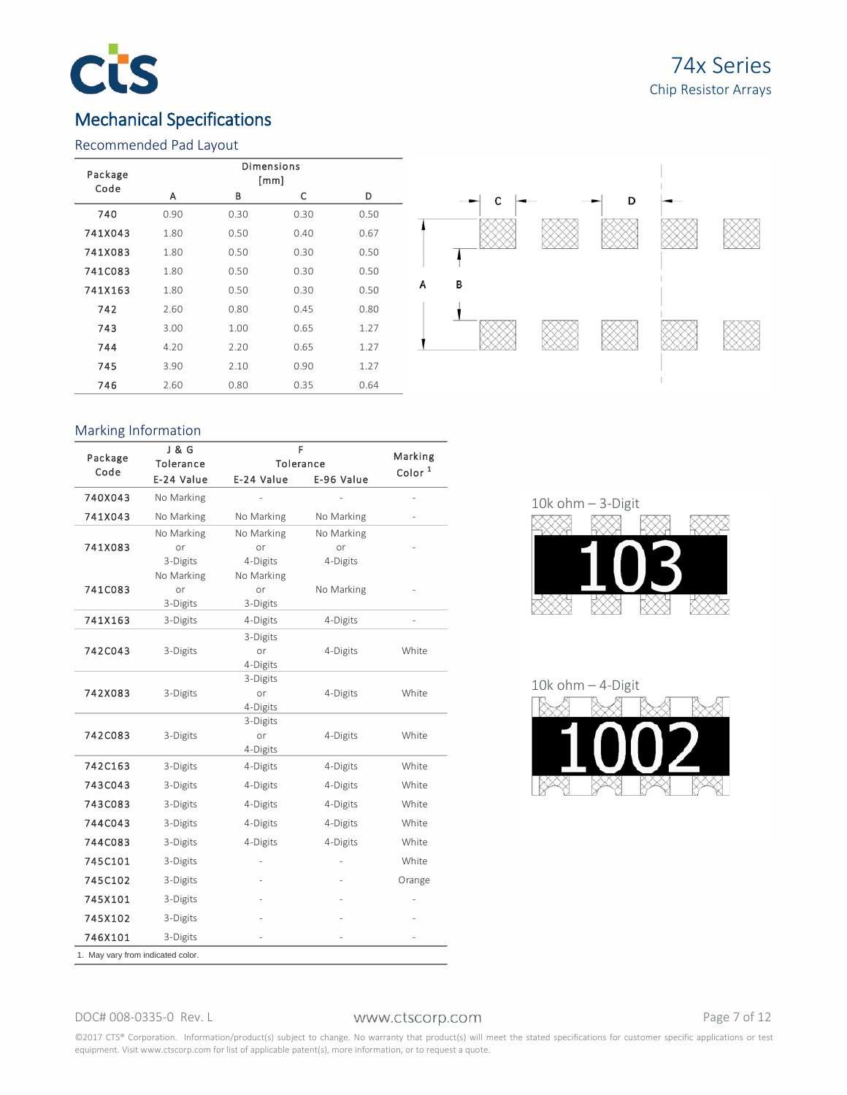

## 74x Series Chip Resistor Arrays

### Mechanical Specifications

### Recommended Pad Layout



### Marking Information

|                                   | J & G      | F          |            |                               |  |  |  |  |
|-----------------------------------|------------|------------|------------|-------------------------------|--|--|--|--|
| Package<br>Code                   | Tolerance  |            | Tolerance  | Marking<br>Color <sup>1</sup> |  |  |  |  |
|                                   | E-24 Value | E-24 Value | E-96 Value |                               |  |  |  |  |
| 740X043                           | No Marking |            |            |                               |  |  |  |  |
| 741X043                           | No Marking | No Marking | No Marking |                               |  |  |  |  |
|                                   | No Marking | No Marking | No Marking |                               |  |  |  |  |
| 741X083                           | or         | or         | or         |                               |  |  |  |  |
|                                   | 3-Digits   | 4-Digits   | 4-Digits   |                               |  |  |  |  |
|                                   | No Marking | No Marking |            |                               |  |  |  |  |
| 741C083                           | or         | or         | No Marking |                               |  |  |  |  |
|                                   | 3-Digits   | 3-Digits   |            |                               |  |  |  |  |
| 741X163                           | 3-Digits   | 4-Digits   | 4-Digits   |                               |  |  |  |  |
|                                   |            | 3-Digits   |            |                               |  |  |  |  |
| 742C043                           | 3-Digits   | or         | 4-Digits   | White                         |  |  |  |  |
|                                   |            | 4-Digits   |            |                               |  |  |  |  |
|                                   |            | 3-Digits   |            |                               |  |  |  |  |
| 742X083                           | 3-Digits   | or         | 4-Digits   | White                         |  |  |  |  |
|                                   |            | 4-Digits   |            |                               |  |  |  |  |
|                                   |            | 3-Digits   |            |                               |  |  |  |  |
| 742C083                           | 3-Digits   | or         | 4-Digits   | White                         |  |  |  |  |
|                                   |            | 4-Digits   |            |                               |  |  |  |  |
| 742C163                           | 3-Digits   | 4-Digits   | 4-Digits   | White                         |  |  |  |  |
| 743C043                           | 3-Digits   | 4-Digits   | 4-Digits   | White                         |  |  |  |  |
| 743C083                           | 3-Digits   | 4-Digits   | 4-Digits   | White                         |  |  |  |  |
| 744C043                           | 3-Digits   | 4-Digits   | 4-Digits   | White                         |  |  |  |  |
| 744C083                           | 3-Digits   | 4-Digits   | 4-Digits   | White                         |  |  |  |  |
| 745C101                           | 3-Digits   |            |            | White                         |  |  |  |  |
| 745C102                           | 3-Digits   |            |            | Orange                        |  |  |  |  |
| 745X101                           | 3-Digits   |            |            |                               |  |  |  |  |
| 745X102                           | 3-Digits   |            |            |                               |  |  |  |  |
| 746X101                           | 3-Digits   |            |            |                               |  |  |  |  |
| 1. May vary from indicated color. |            |            |            |                               |  |  |  |  |



### 10k ohm – 4-Digit



### DOC# 008-0335-0 Rev. L WWW.Ctscorp.com example the Page 7 of 12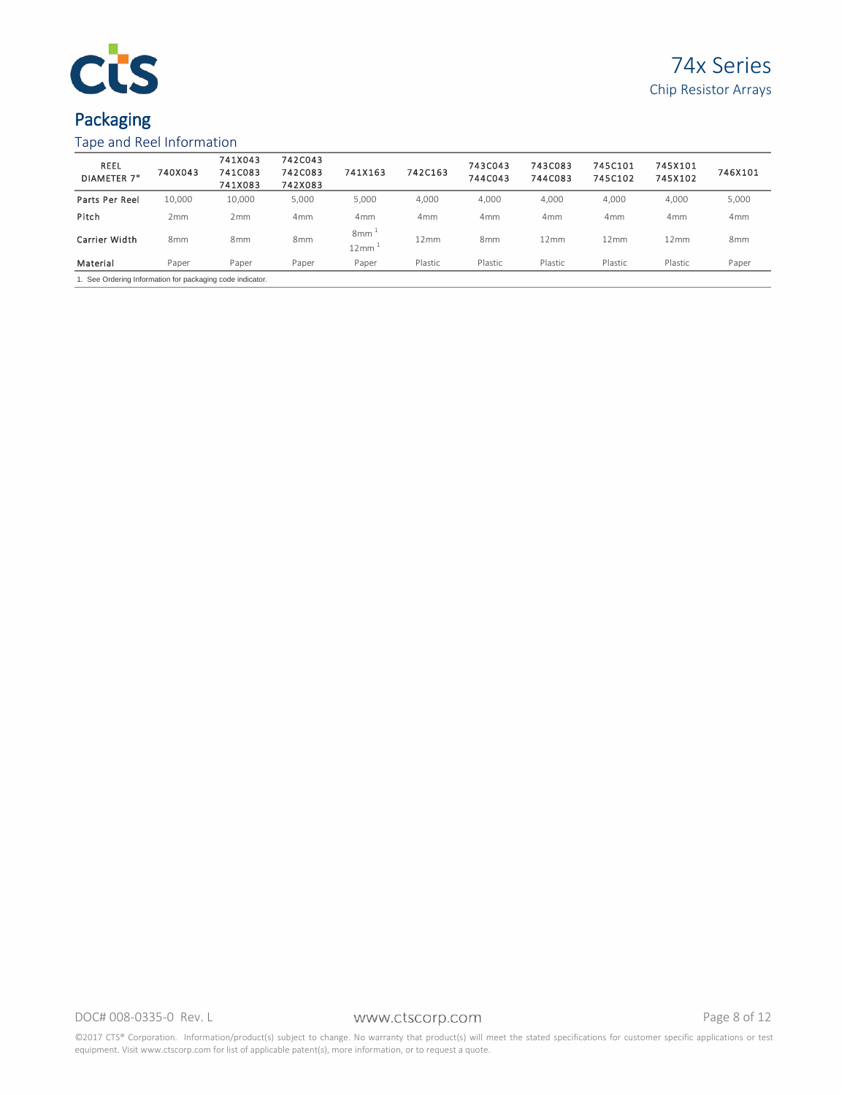

# Packaging

### Tape and Reel Information

| <b>REEL</b><br><b>DIAMETER 7"</b>                         | 740X043         | 741X043<br>741C083<br>741X083 | 742C043<br>742C083<br>742X083 | 741X163         | 742C163         | 743C043<br>744C043 | 743C083<br>744C083 | 745C101<br>745C102 | 745X101<br>745X102 | 746X101         |  |
|-----------------------------------------------------------|-----------------|-------------------------------|-------------------------------|-----------------|-----------------|--------------------|--------------------|--------------------|--------------------|-----------------|--|
| Parts Per Reel                                            | 10,000          | 10.000                        | 5,000                         | 5,000           | 4,000           | 4,000              | 4,000              | 4.000              | 4,000              | 5,000           |  |
| Pitch                                                     | 2mm             | 2 <sub>mm</sub>               | 4 <sub>mm</sub>               | 4 <sub>mm</sub> | 4 <sub>mm</sub> | 4 <sub>mm</sub>    | 4 <sub>mm</sub>    | 4 <sub>mm</sub>    | 4 <sub>mm</sub>    | 4 <sub>mm</sub> |  |
| Carrier Width                                             | 8 <sub>mm</sub> | 8 <sub>mm</sub>               | 8 <sub>mm</sub>               | 8mm<br>12mm     | 12mm            | 8 <sub>mm</sub>    | 12mm               | 12mm               | 12mm               | 8 <sub>mm</sub> |  |
| Material                                                  | Paper           | Paper                         | Paper                         | Paper           | Plastic         | Plastic            | Plastic            | Plastic            | Plastic            | Paper           |  |
| 1. See Ordering Information for packaging code indicator. |                 |                               |                               |                 |                 |                    |                    |                    |                    |                 |  |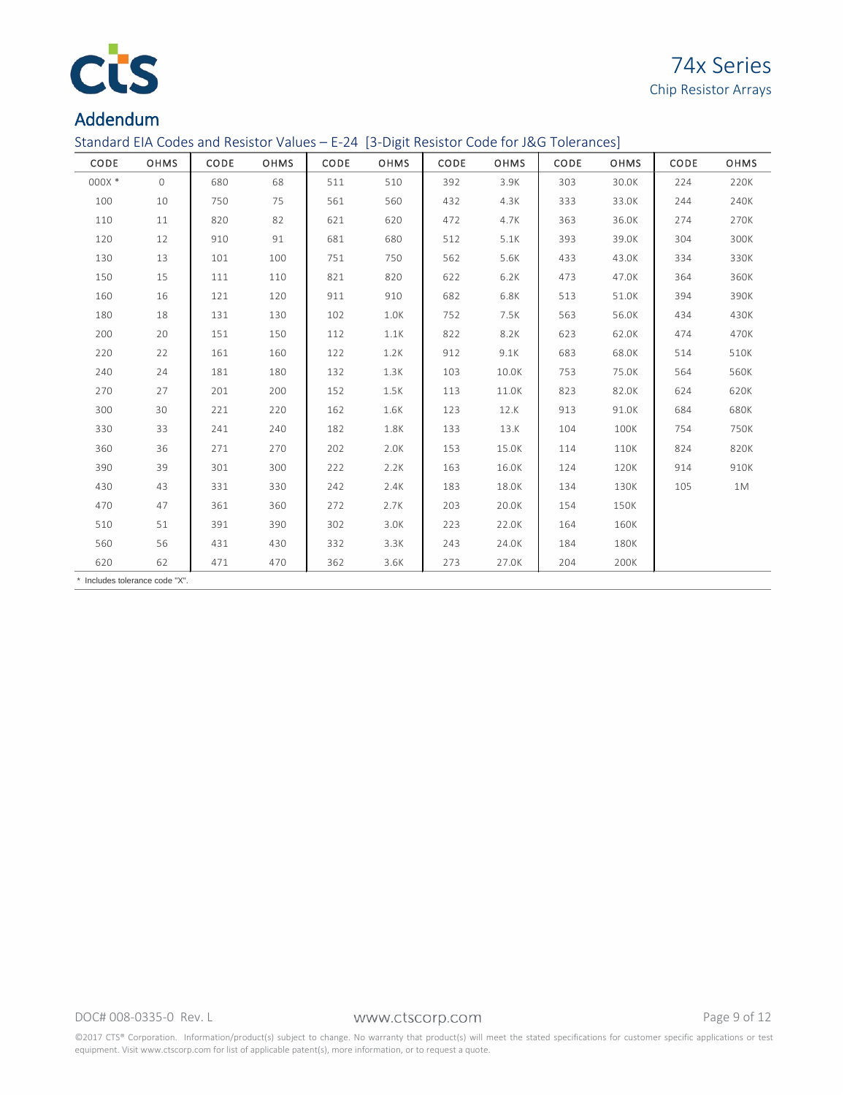

Standard EIA Codes and Resistor Values – E-24 [3-Digit Resistor Code for J&G Tolerances]

| CODE                           | <b>OHMS</b> | CODE | <b>OHMS</b> | CODE | <b>OHMS</b> | CODE | <b>OHMS</b> | CODE | OHMS  | CODE | <b>OHMS</b> |
|--------------------------------|-------------|------|-------------|------|-------------|------|-------------|------|-------|------|-------------|
| 000X *                         | $\circ$     | 680  | 68          | 511  | 510         | 392  | 3.9K        | 303  | 30.0K | 224  | 220K        |
| 100                            | 10          | 750  | 75          | 561  | 560         | 432  | 4.3K        | 333  | 33.0K | 244  | 240K        |
| 110                            | 11          | 820  | 82          | 621  | 620         | 472  | 4.7K        | 363  | 36.0K | 274  | 270K        |
| 120                            | 12          | 910  | 91          | 681  | 680         | 512  | 5.1K        | 393  | 39.0K | 304  | 300K        |
| 130                            | 13          | 101  | 100         | 751  | 750         | 562  | 5.6K        | 433  | 43.0K | 334  | 330K        |
| 150                            | 15          | 111  | 110         | 821  | 820         | 622  | 6.2K        | 473  | 47.0K | 364  | 360K        |
| 160                            | 16          | 121  | 120         | 911  | 910         | 682  | 6.8K        | 513  | 51.0K | 394  | 390K        |
| 180                            | 18          | 131  | 130         | 102  | 1.0K        | 752  | 7.5K        | 563  | 56.0K | 434  | 430K        |
| 200                            | 20          | 151  | 150         | 112  | 1.1K        | 822  | 8.2K        | 623  | 62.0K | 474  | 470K        |
| 220                            | 22          | 161  | 160         | 122  | 1.2K        | 912  | 9.1K        | 683  | 68.0K | 514  | 510K        |
| 240                            | 24          | 181  | 180         | 132  | 1.3K        | 103  | 10.0K       | 753  | 75.0K | 564  | 560K        |
| 270                            | 27          | 201  | 200         | 152  | 1.5K        | 113  | 11.0K       | 823  | 82.0K | 624  | 620K        |
| 300                            | 30          | 221  | 220         | 162  | 1.6K        | 123  | 12.K        | 913  | 91.0K | 684  | 680K        |
| 330                            | 33          | 241  | 240         | 182  | 1.8K        | 133  | 13.K        | 104  | 100K  | 754  | 750K        |
| 360                            | 36          | 271  | 270         | 202  | 2.0K        | 153  | 15.0K       | 114  | 110K  | 824  | 820K        |
| 390                            | 39          | 301  | 300         | 222  | 2.2K        | 163  | 16.0K       | 124  | 120K  | 914  | 910K        |
| 430                            | 43          | 331  | 330         | 242  | 2.4K        | 183  | 18.0K       | 134  | 130K  | 105  | 1M          |
| 470                            | 47          | 361  | 360         | 272  | 2.7K        | 203  | 20.0K       | 154  | 150K  |      |             |
| 510                            | 51          | 391  | 390         | 302  | 3.0K        | 223  | 22.0K       | 164  | 160K  |      |             |
| 560                            | 56          | 431  | 430         | 332  | 3.3K        | 243  | 24.0K       | 184  | 180K  |      |             |
| 620                            | 62          | 471  | 470         | 362  | 3.6K        | 273  | 27.0K       | 204  | 200K  |      |             |
| * Includes tolerance code "X". |             |      |             |      |             |      |             |      |       |      |             |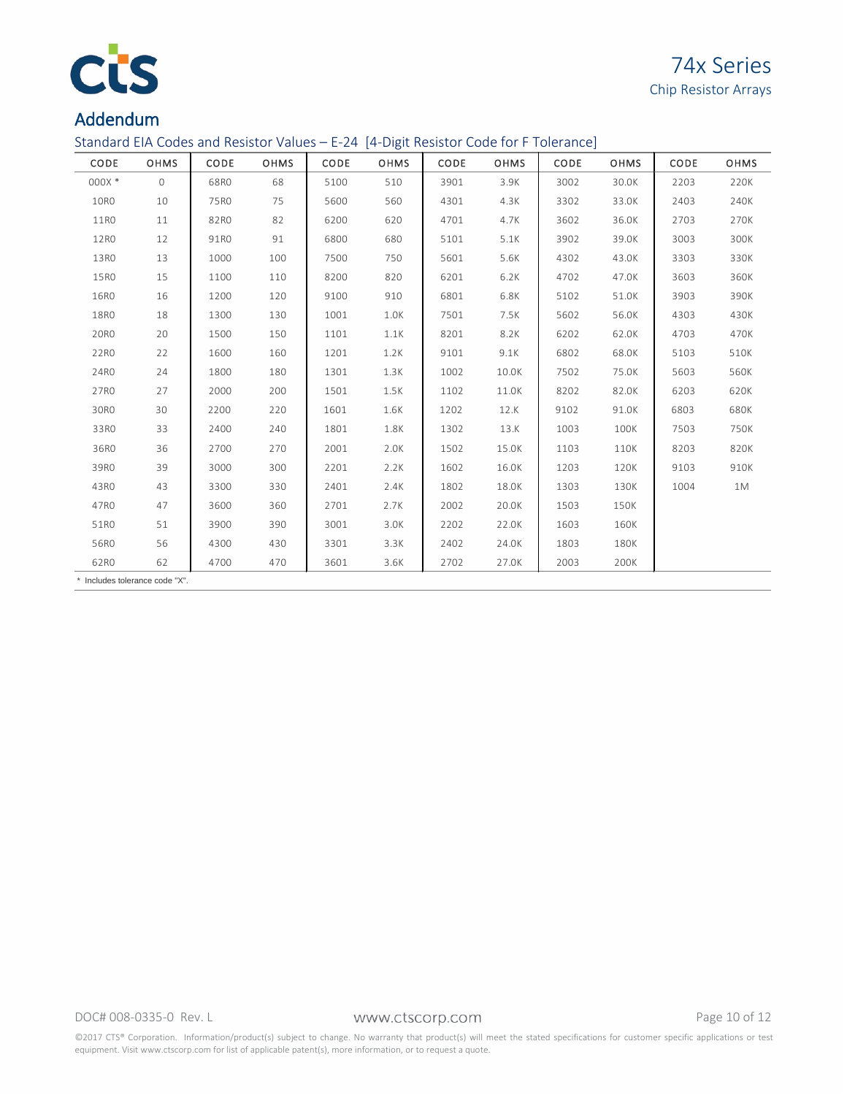

Standard EIA Codes and Resistor Values – E-24 [4-Digit Resistor Code for F Tolerance]

| CODE                           | <b>OHMS</b> | CODE | <b>OHMS</b> | CODE | <b>OHMS</b> | CODE | <b>OHMS</b> | CODE | <b>OHMS</b> | CODE | <b>OHMS</b> |
|--------------------------------|-------------|------|-------------|------|-------------|------|-------------|------|-------------|------|-------------|
| 000X *                         | $\circ$     | 68R0 | 68          | 5100 | 510         | 3901 | 3.9K        | 3002 | 30.0K       | 2203 | 220K        |
| 10R0                           | 10          | 75R0 | 75          | 5600 | 560         | 4301 | 4.3K        | 3302 | 33.0K       | 2403 | 240K        |
| 11RO                           | 11          | 82R0 | 82          | 6200 | 620         | 4701 | 4.7K        | 3602 | 36.0K       | 2703 | 270K        |
| 12RO                           | 12          | 91R0 | 91          | 6800 | 680         | 5101 | 5.1K        | 3902 | 39.0K       | 3003 | 300K        |
| 13RO                           | 13          | 1000 | 100         | 7500 | 750         | 5601 | 5.6K        | 4302 | 43.0K       | 3303 | 330K        |
| 15R0                           | 15          | 1100 | 110         | 8200 | 820         | 6201 | 6.2K        | 4702 | 47.0K       | 3603 | 360K        |
| 16R0                           | 16          | 1200 | 120         | 9100 | 910         | 6801 | 6.8K        | 5102 | 51.0K       | 3903 | 390K        |
| 18R0                           | 18          | 1300 | 130         | 1001 | 1.0K        | 7501 | 7.5K        | 5602 | 56.0K       | 4303 | 430K        |
| 20R0                           | 20          | 1500 | 150         | 1101 | 1.1K        | 8201 | 8.2K        | 6202 | 62.0K       | 4703 | 470K        |
| 22RO                           | 22          | 1600 | 160         | 1201 | 1.2K        | 9101 | 9.1K        | 6802 | 68.0K       | 5103 | 510K        |
| 24RO                           | 24          | 1800 | 180         | 1301 | 1.3K        | 1002 | 10.0K       | 7502 | 75.0K       | 5603 | 560K        |
| 27R0                           | 27          | 2000 | 200         | 1501 | 1.5K        | 1102 | 11.0K       | 8202 | 82.0K       | 6203 | 620K        |
| 30RO                           | 30          | 2200 | 220         | 1601 | 1.6K        | 1202 | 12.K        | 9102 | 91.0K       | 6803 | 680K        |
| 33RO                           | 33          | 2400 | 240         | 1801 | 1.8K        | 1302 | 13.K        | 1003 | 100K        | 7503 | 750K        |
| 36RO                           | 36          | 2700 | 270         | 2001 | 2.0K        | 1502 | 15.0K       | 1103 | 110K        | 8203 | 820K        |
| 39R0                           | 39          | 3000 | 300         | 2201 | 2.2K        | 1602 | 16.0K       | 1203 | 120K        | 9103 | 910K        |
| 43RO                           | 43          | 3300 | 330         | 2401 | 2.4K        | 1802 | 18.0K       | 1303 | 130K        | 1004 | 1M          |
| 47R0                           | 47          | 3600 | 360         | 2701 | 2.7K        | 2002 | 20.0K       | 1503 | 150K        |      |             |
| 51RO                           | 51          | 3900 | 390         | 3001 | 3.0K        | 2202 | 22.0K       | 1603 | 160K        |      |             |
| 56R0                           | 56          | 4300 | 430         | 3301 | 3.3K        | 2402 | 24.0K       | 1803 | 180K        |      |             |
| 62R0                           | 62          | 4700 | 470         | 3601 | 3.6K        | 2702 | 27.0K       | 2003 | 200K        |      |             |
| * Includes tolerance code "X". |             |      |             |      |             |      |             |      |             |      |             |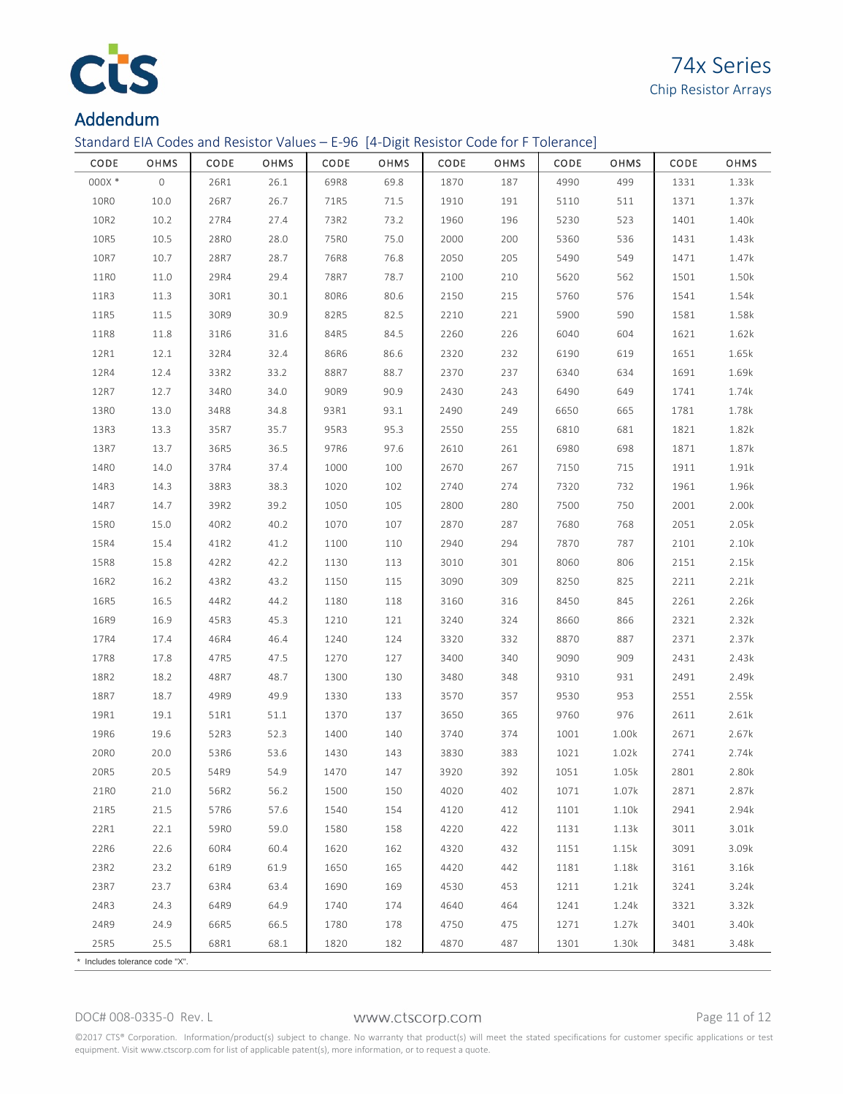

Standard EIA Codes and Resistor Values – E-96 [4-Digit Resistor Code for F Tolerance]

| CODE                           | OHMS                | CODE | OHMS | CODE | OHMS | CODE | OHMS | CODE | OHMS  | CODE | OHMS  |
|--------------------------------|---------------------|------|------|------|------|------|------|------|-------|------|-------|
| 000X *                         | $\mathsf{O}\xspace$ | 26R1 | 26.1 | 69R8 | 69.8 | 1870 | 187  | 4990 | 499   | 1331 | 1.33k |
| 10R0                           | 10.0                | 26R7 | 26.7 | 71R5 | 71.5 | 1910 | 191  | 5110 | 511   | 1371 | 1.37k |
| 10R2                           | 10.2                | 27R4 | 27.4 | 73R2 | 73.2 | 1960 | 196  | 5230 | 523   | 1401 | 1.40k |
| 10R5                           | 10.5                | 28R0 | 28.0 | 75R0 | 75.0 | 2000 | 200  | 5360 | 536   | 1431 | 1.43k |
| 10R7                           | 10.7                | 28R7 | 28.7 | 76R8 | 76.8 | 2050 | 205  | 5490 | 549   | 1471 | 1.47k |
| 11RO                           | 11.0                | 29R4 | 29.4 | 78R7 | 78.7 | 2100 | 210  | 5620 | 562   | 1501 | 1.50k |
| 11R3                           | 11.3                | 30R1 | 30.1 | 80R6 | 80.6 | 2150 | 215  | 5760 | 576   | 1541 | 1.54k |
| 11R5                           | $11.5\,$            | 30R9 | 30.9 | 82R5 | 82.5 | 2210 | 221  | 5900 | 590   | 1581 | 1.58k |
| <b>11R8</b>                    | 11.8                | 31R6 | 31.6 | 84R5 | 84.5 | 2260 | 226  | 6040 | 604   | 1621 | 1.62k |
| 12R1                           | 12.1                | 32R4 | 32.4 | 86R6 | 86.6 | 2320 | 232  | 6190 | 619   | 1651 | 1.65k |
| 12R4                           | 12.4                | 33R2 | 33.2 | 88R7 | 88.7 | 2370 | 237  | 6340 | 634   | 1691 | 1.69k |
| 12R7                           | 12.7                | 34RO | 34.0 | 90R9 | 90.9 | 2430 | 243  | 6490 | 649   | 1741 | 1.74k |
| 13RO                           | 13.0                | 34R8 | 34.8 | 93R1 | 93.1 | 2490 | 249  | 6650 | 665   | 1781 | 1.78k |
| 13R3                           | 13.3                | 35R7 | 35.7 | 95R3 | 95.3 | 2550 | 255  | 6810 | 681   | 1821 | 1.82k |
| 13R7                           | 13.7                | 36R5 | 36.5 | 97R6 | 97.6 | 2610 | 261  | 6980 | 698   | 1871 | 1.87k |
| 14R0                           | 14.0                | 37R4 | 37.4 | 1000 | 100  | 2670 | 267  | 7150 | 715   | 1911 | 1.91k |
| 14R3                           | 14.3                | 38R3 | 38.3 | 1020 | 102  | 2740 | 274  | 7320 | 732   | 1961 | 1.96k |
| 14R7                           | 14.7                | 39R2 | 39.2 | 1050 | 105  | 2800 | 280  | 7500 | 750   | 2001 | 2.00k |
| 15R0                           | 15.0                | 40R2 | 40.2 | 1070 | 107  | 2870 | 287  | 7680 | 768   | 2051 | 2.05k |
| 15R4                           | 15.4                | 41R2 | 41.2 | 1100 | 110  | 2940 | 294  | 7870 | 787   | 2101 | 2.10k |
| 15R8                           | 15.8                | 42R2 | 42.2 | 1130 | 113  | 3010 | 301  | 8060 | 806   | 2151 | 2.15k |
| 16R2                           | 16.2                | 43R2 | 43.2 | 1150 | 115  | 3090 | 309  | 8250 | 825   | 2211 | 2.21k |
| 16R5                           | 16.5                | 44R2 | 44.2 | 1180 | 118  | 3160 | 316  | 8450 | 845   | 2261 | 2.26k |
| 16R9                           | 16.9                | 45R3 | 45.3 | 1210 | 121  | 3240 | 324  | 8660 | 866   | 2321 | 2.32k |
| 17R4                           | 17.4                | 46R4 | 46.4 | 1240 | 124  | 3320 | 332  | 8870 | 887   | 2371 | 2.37k |
| 17R8                           | 17.8                | 47R5 | 47.5 | 1270 | 127  | 3400 | 340  | 9090 | 909   | 2431 | 2.43k |
| 18R2                           | 18.2                | 48R7 | 48.7 | 1300 | 130  | 3480 | 348  | 9310 | 931   | 2491 | 2.49k |
| 18R7                           | 18.7                | 49R9 | 49.9 | 1330 | 133  | 3570 | 357  | 9530 | 953   | 2551 | 2.55k |
| 19R1                           | 19.1                | 51R1 | 51.1 | 1370 | 137  | 3650 | 365  | 9760 | 976   | 2611 | 2.61k |
| 19R6                           | 19.6                | 52R3 | 52.3 | 1400 | 140  | 3740 | 374  | 1001 | 1.00k | 2671 | 2.67k |
| 20R0                           | 20.0                | 53R6 | 53.6 | 1430 | 143  | 3830 | 383  | 1021 | 1.02k | 2741 | 2.74k |
| 20R5                           | 20.5                | 54R9 | 54.9 | 1470 | 147  | 3920 | 392  | 1051 | 1.05k | 2801 | 2.80k |
| 21RO                           | 21.0                | 56R2 | 56.2 | 1500 | 150  | 4020 | 402  | 1071 | 1.07k | 2871 | 2.87k |
| 21R5                           | 21.5                | 57R6 | 57.6 | 1540 | 154  | 4120 | 412  | 1101 | 1.10k | 2941 | 2.94k |
| 22R1                           | 22.1                | 59R0 | 59.0 | 1580 | 158  | 4220 | 422  | 1131 | 1.13k | 3011 | 3.01k |
| 22R6                           | 22.6                | 60R4 | 60.4 | 1620 | 162  | 4320 | 432  | 1151 | 1.15k | 3091 | 3.09k |
| 23R2                           | 23.2                | 61R9 | 61.9 | 1650 | 165  | 4420 | 442  | 1181 | 1.18k | 3161 | 3.16k |
| 23R7                           | 23.7                | 63R4 | 63.4 | 1690 | 169  | 4530 | 453  | 1211 | 1.21k | 3241 | 3.24k |
| 24R3                           | 24.3                | 64R9 | 64.9 | 1740 | 174  | 4640 | 464  | 1241 | 1.24k | 3321 | 3.32k |
| 24R9                           | 24.9                | 66R5 | 66.5 | 1780 | 178  | 4750 | 475  | 1271 | 1.27k | 3401 | 3.40k |
| 25R5                           | 25.5                | 68R1 | 68.1 | 1820 | 182  | 4870 | 487  | 1301 | 1.30k | 3481 | 3.48k |
| * Includes tolerance code "X". |                     |      |      |      |      |      |      |      |       |      |       |

DOC# 008-0335-0 Rev. L WWW.Ctscorp.com Page 11 of 12